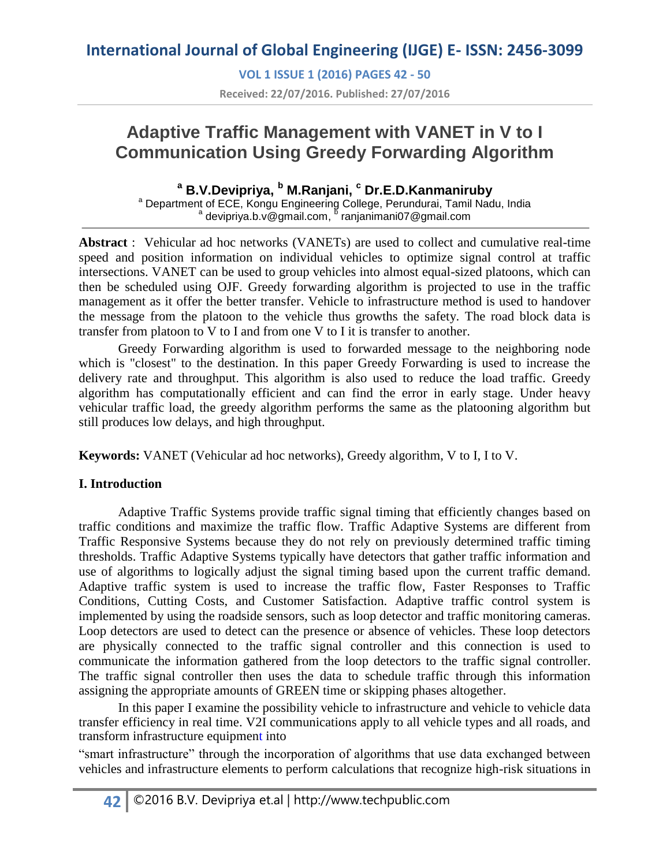**VOL 1 ISSUE 1 (2016) PAGES 42 - 50**

**Received: 22/07/2016. Published: 27/07/2016**

# **Adaptive Traffic Management with VANET in V to I Communication Using Greedy Forwarding Algorithm**

#### **<sup>a</sup> B.V.Devipriya, <sup>b</sup> M.Ranjani, <sup>c</sup> Dr.E.D.Kanmaniruby**

<sup>a</sup> Department of ECE, Kongu Engineering College, Perundurai, Tamil Nadu, India <sup>a</sup> devipriya.b.v@gmail.com, <sup>b</sup> ranjanimani07@gmail.com

**Abstract** : Vehicular ad hoc networks (VANETs) are used to collect and cumulative real-time speed and position information on individual vehicles to optimize signal control at traffic intersections. VANET can be used to group vehicles into almost equal-sized platoons, which can then be scheduled using OJF. Greedy forwarding algorithm is projected to use in the traffic management as it offer the better transfer. Vehicle to infrastructure method is used to handover the message from the platoon to the vehicle thus growths the safety. The road block data is transfer from platoon to V to I and from one V to I it is transfer to another.

Greedy Forwarding algorithm is used to forwarded message to the neighboring node which is "closest" to the destination. In this paper Greedy Forwarding is used to increase the delivery rate and throughput. This algorithm is also used to reduce the load traffic. Greedy algorithm has computationally efficient and can find the error in early stage. Under heavy vehicular traffic load, the greedy algorithm performs the same as the platooning algorithm but still produces low delays, and high throughput.

**Keywords:** VANET (Vehicular ad hoc networks), Greedy algorithm, V to I, I to V.

#### **I. Introduction**

Adaptive Traffic Systems provide traffic signal timing that efficiently changes based on traffic conditions and maximize the traffic flow. Traffic Adaptive Systems are different from Traffic Responsive Systems because they do not rely on previously determined traffic timing thresholds. Traffic Adaptive Systems typically have detectors that gather traffic information and use of algorithms to logically adjust the signal timing based upon the current traffic demand. Adaptive traffic system is used to increase the traffic flow, Faster Responses to Traffic Conditions, Cutting Costs, and Customer Satisfaction. Adaptive traffic control system is implemented by using the roadside sensors, such as loop detector and traffic monitoring cameras. Loop detectors are used to detect can the presence or absence of vehicles. These loop detectors are physically connected to the traffic signal controller and this connection is used to communicate the information gathered from the loop detectors to the traffic signal controller. The traffic signal controller then uses the data to schedule traffic through this information assigning the appropriate amounts of GREEN time or skipping phases altogether.

In this paper I examine the possibility vehicle to infrastructure and vehicle to vehicle data transfer efficiency in real time. V2I communications apply to all vehicle types and all roads, and transform infrastructure equipment into

"smart infrastructure" through the incorporation of algorithms that use data exchanged between vehicles and infrastructure elements to perform calculations that recognize high-risk situations in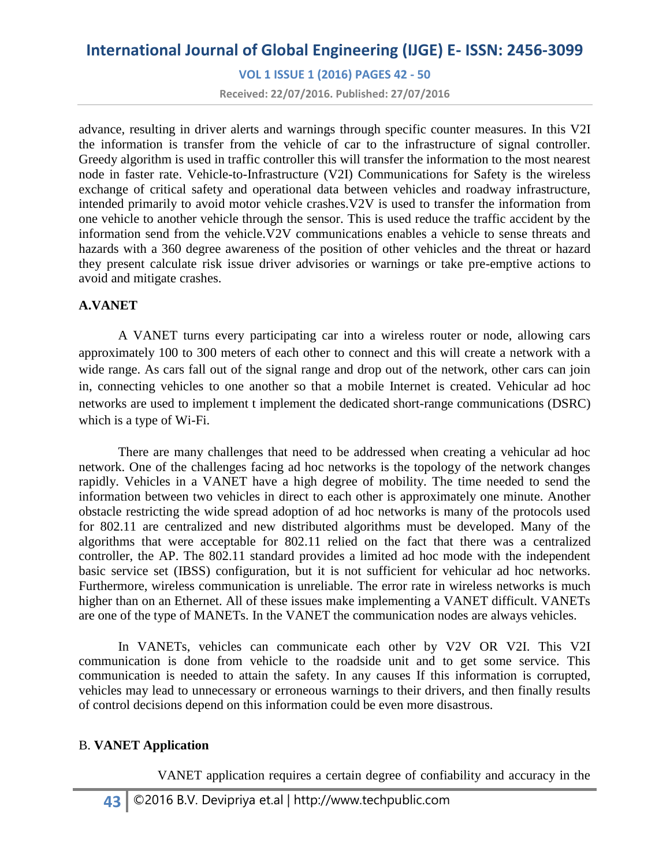**VOL 1 ISSUE 1 (2016) PAGES 42 - 50**

**Received: 22/07/2016. Published: 27/07/2016**

advance, resulting in driver alerts and warnings through specific counter measures. In this V2I the information is transfer from the vehicle of car to the infrastructure of signal controller. Greedy algorithm is used in traffic controller this will transfer the information to the most nearest node in faster rate. Vehicle-to-Infrastructure (V2I) Communications for Safety is the wireless exchange of critical safety and operational data between vehicles and roadway infrastructure, intended primarily to avoid motor vehicle crashes.V2V is used to transfer the information from one vehicle to another vehicle through the sensor. This is used reduce the traffic accident by the information send from the vehicle.V2V communications enables a vehicle to sense threats and hazards with a 360 degree awareness of the position of other vehicles and the threat or hazard they present calculate risk issue driver advisories or warnings or take pre-emptive actions to avoid and mitigate crashes.

#### **A.VANET**

A VANET turns every participating car into a wireless router or node, allowing cars approximately 100 to 300 meters of each other to connect and this will create a network with a wide range. As cars fall out of the signal range and drop out of the network, other cars can join in, connecting vehicles to one another so that a mobile Internet is created. Vehicular ad hoc networks are used to implement t implement the dedicated short-range communications (DSRC) which is a type of Wi-Fi.

There are many challenges that need to be addressed when creating a vehicular ad hoc network. One of the challenges facing ad hoc networks is the topology of the network changes rapidly. Vehicles in a VANET have a high degree of mobility. The time needed to send the information between two vehicles in direct to each other is approximately one minute. Another obstacle restricting the wide spread adoption of ad hoc networks is many of the protocols used for 802.11 are centralized and new distributed algorithms must be developed. Many of the algorithms that were acceptable for 802.11 relied on the fact that there was a centralized controller, the AP. The 802.11 standard provides a limited ad hoc mode with the independent basic service set (IBSS) configuration, but it is not sufficient for vehicular ad hoc networks. Furthermore, wireless communication is unreliable. The error rate in wireless networks is much higher than on an Ethernet. All of these issues make implementing a VANET difficult. VANETs are one of the type of MANETs. In the VANET the communication nodes are always vehicles.

In VANETs, vehicles can communicate each other by V2V OR V2I. This V2I communication is done from vehicle to the roadside unit and to get some service. This communication is needed to attain the safety. In any causes If this information is corrupted, vehicles may lead to unnecessary or erroneous warnings to their drivers, and then finally results of control decisions depend on this information could be even more disastrous.

#### B. **VANET Application**

VANET application requires a certain degree of confiability and accuracy in the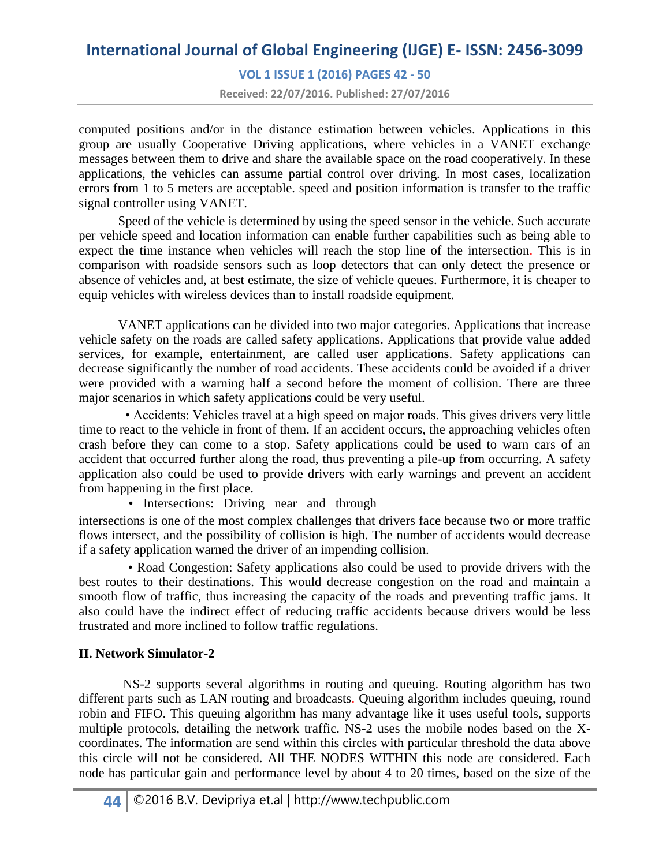**VOL 1 ISSUE 1 (2016) PAGES 42 - 50**

**Received: 22/07/2016. Published: 27/07/2016**

computed positions and/or in the distance estimation between vehicles. Applications in this group are usually Cooperative Driving applications, where vehicles in a VANET exchange messages between them to drive and share the available space on the road cooperatively. In these applications, the vehicles can assume partial control over driving. In most cases, localization errors from 1 to 5 meters are acceptable. speed and position information is transfer to the traffic signal controller using VANET.

Speed of the vehicle is determined by using the speed sensor in the vehicle. Such accurate per vehicle speed and location information can enable further capabilities such as being able to expect the time instance when vehicles will reach the stop line of the intersection. This is in comparison with roadside sensors such as loop detectors that can only detect the presence or absence of vehicles and, at best estimate, the size of vehicle queues. Furthermore, it is cheaper to equip vehicles with wireless devices than to install roadside equipment.

VANET applications can be divided into two major categories. Applications that increase vehicle safety on the roads are called safety applications. Applications that provide value added services, for example, entertainment, are called user applications. Safety applications can decrease significantly the number of road accidents. These accidents could be avoided if a driver were provided with a warning half a second before the moment of collision. There are three major scenarios in which safety applications could be very useful.

• Accidents: Vehicles travel at a high speed on major roads. This gives drivers very little time to react to the vehicle in front of them. If an accident occurs, the approaching vehicles often crash before they can come to a stop. Safety applications could be used to warn cars of an accident that occurred further along the road, thus preventing a pile-up from occurring. A safety application also could be used to provide drivers with early warnings and prevent an accident from happening in the first place.

• Intersections: Driving near and through

intersections is one of the most complex challenges that drivers face because two or more traffic flows intersect, and the possibility of collision is high. The number of accidents would decrease if a safety application warned the driver of an impending collision.

• Road Congestion: Safety applications also could be used to provide drivers with the best routes to their destinations. This would decrease congestion on the road and maintain a smooth flow of traffic, thus increasing the capacity of the roads and preventing traffic jams. It also could have the indirect effect of reducing traffic accidents because drivers would be less frustrated and more inclined to follow traffic regulations.

#### **II. Network Simulator-2**

NS-2 supports several algorithms in routing and queuing. Routing algorithm has two different parts such as LAN routing and broadcasts. Queuing algorithm includes queuing, round robin and FIFO. This queuing algorithm has many advantage like it uses useful tools, supports multiple protocols, detailing the network traffic. NS-2 uses the mobile nodes based on the Xcoordinates. The information are send within this circles with particular threshold the data above this circle will not be considered. All THE NODES WITHIN this node are considered. Each node has particular gain and performance level by about 4 to 20 times, based on the size of the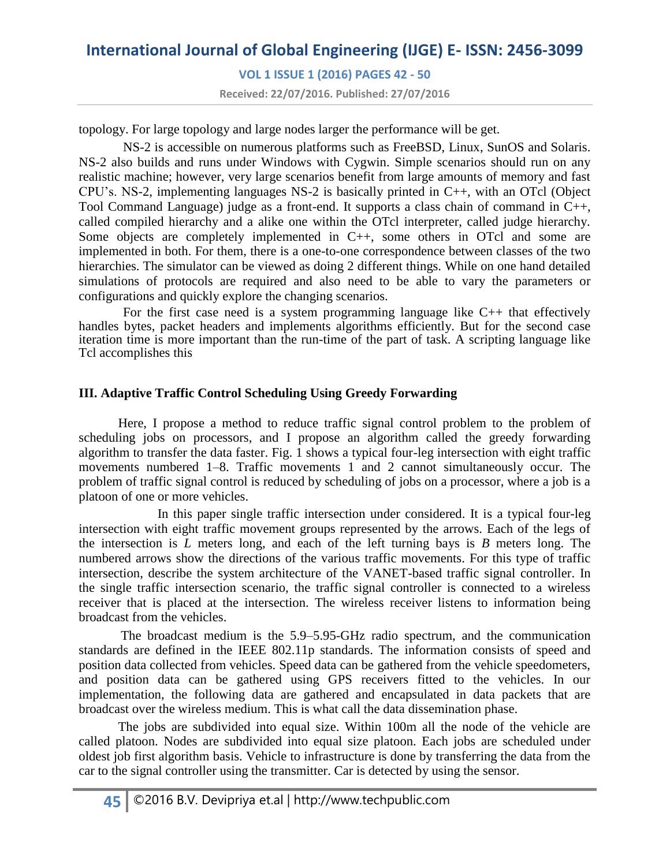**VOL 1 ISSUE 1 (2016) PAGES 42 - 50**

**Received: 22/07/2016. Published: 27/07/2016**

topology. For large topology and large nodes larger the performance will be get.

NS-2 is accessible on numerous platforms such as FreeBSD, Linux, SunOS and Solaris. NS-2 also builds and runs under Windows with Cygwin. Simple scenarios should run on any realistic machine; however, very large scenarios benefit from large amounts of memory and fast CPU's. NS-2, implementing languages NS-2 is basically printed in C++, with an OTcl (Object Tool Command Language) judge as a front-end. It supports a class chain of command in C++, called compiled hierarchy and a alike one within the OTcl interpreter, called judge hierarchy. Some objects are completely implemented in C++, some others in OTcl and some are implemented in both. For them, there is a one-to-one correspondence between classes of the two hierarchies. The simulator can be viewed as doing 2 different things. While on one hand detailed simulations of protocols are required and also need to be able to vary the parameters or configurations and quickly explore the changing scenarios.

For the first case need is a system programming language like  $C_{++}$  that effectively handles bytes, packet headers and implements algorithms efficiently. But for the second case iteration time is more important than the run-time of the part of task. A scripting language like Tcl accomplishes this

#### **III. Adaptive Traffic Control Scheduling Using Greedy Forwarding**

Here, I propose a method to reduce traffic signal control problem to the problem of scheduling jobs on processors, and I propose an algorithm called the greedy forwarding algorithm to transfer the data faster. Fig. 1 shows a typical four-leg intersection with eight traffic movements numbered 1–8. Traffic movements 1 and 2 cannot simultaneously occur. The problem of traffic signal control is reduced by scheduling of jobs on a processor, where a job is a platoon of one or more vehicles.

In this paper single traffic intersection under considered. It is a typical four-leg intersection with eight traffic movement groups represented by the arrows. Each of the legs of the intersection is *L* meters long, and each of the left turning bays is *B* meters long. The numbered arrows show the directions of the various traffic movements. For this type of traffic intersection, describe the system architecture of the VANET-based traffic signal controller. In the single traffic intersection scenario, the traffic signal controller is connected to a wireless receiver that is placed at the intersection. The wireless receiver listens to information being broadcast from the vehicles.

The broadcast medium is the 5.9–5.95-GHz radio spectrum, and the communication standards are defined in the IEEE 802.11p standards. The information consists of speed and position data collected from vehicles. Speed data can be gathered from the vehicle speedometers, and position data can be gathered using GPS receivers fitted to the vehicles. In our implementation, the following data are gathered and encapsulated in data packets that are broadcast over the wireless medium. This is what call the data dissemination phase.

The jobs are subdivided into equal size. Within 100m all the node of the vehicle are called platoon. Nodes are subdivided into equal size platoon. Each jobs are scheduled under oldest job first algorithm basis. Vehicle to infrastructure is done by transferring the data from the car to the signal controller using the transmitter. Car is detected by using the sensor.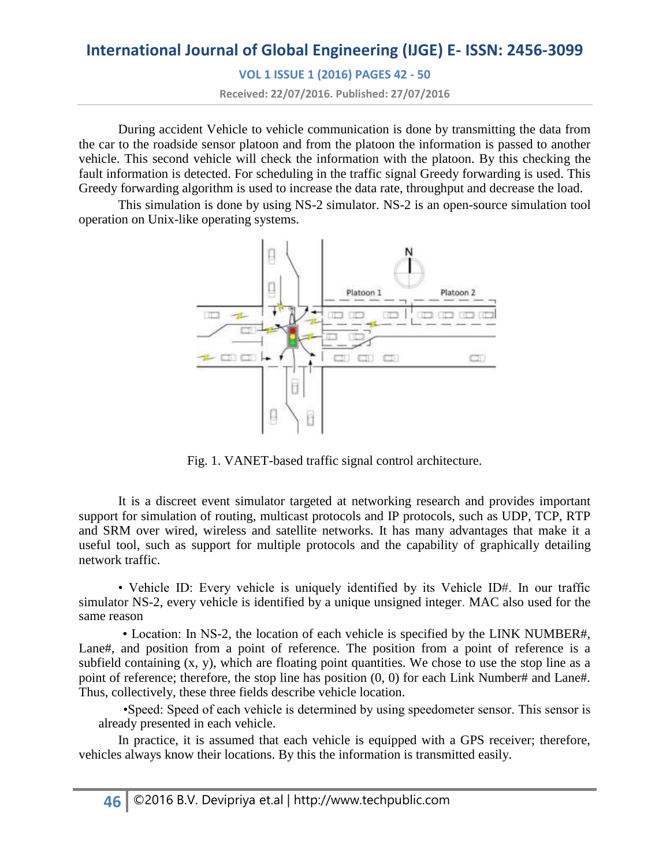**VOL 1 ISSUE 1 (2016) PAGES 42 - 50**

**Received: 22/07/2016. Published: 27/07/2016**

During accident Vehicle to vehicle communication is done by transmitting the data from the car to the roadside sensor platoon and from the platoon the information is passed to another vehicle. This second vehicle will check the information with the platoon. By this checking the fault information is detected. For scheduling in the traffic signal Greedy forwarding is used. This Greedy forwarding algorithm is used to increase the data rate, throughput and decrease the load.

This simulation is done by using NS-2 simulator. NS-2 is an open-source simulation tool operation on Unix-like operating systems.



Fig. 1. VANET-based traffic signal control architecture.

It is a discreet event simulator targeted at networking research and provides important support for simulation of routing, multicast protocols and IP protocols, such as UDP, TCP, RTP and SRM over wired, wireless and satellite networks. It has many advantages that make it a useful tool, such as support for multiple protocols and the capability of graphically detailing network traffic.

• Vehicle ID: Every vehicle is uniquely identified by its Vehicle ID#. In our traffic simulator NS-2, every vehicle is identified by a unique unsigned integer. MAC also used for the same reason

• Location: In NS-2, the location of each vehicle is specified by the LINK NUMBER#, Lane#, and position from a point of reference. The position from a point of reference is a subfield containing  $(x, y)$ , which are floating point quantities. We chose to use the stop line as a point of reference; therefore, the stop line has position (0, 0) for each Link Number# and Lane#. Thus, collectively, these three fields describe vehicle location.

•Speed: Speed of each vehicle is determined by using speedometer sensor. This sensor is already presented in each vehicle.

In practice, it is assumed that each vehicle is equipped with a GPS receiver; therefore, vehicles always know their locations. By this the information is transmitted easily.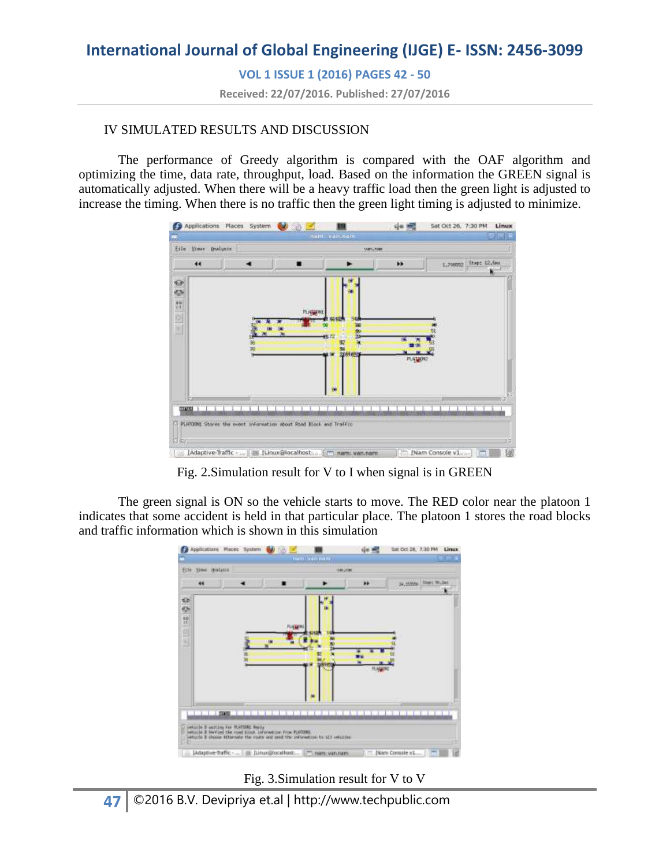**VOL 1 ISSUE 1 (2016) PAGES 42 - 50**

**Received: 22/07/2016. Published: 27/07/2016**

#### IV SIMULATED RESULTS AND DISCUSSION

The performance of Greedy algorithm is compared with the OAF algorithm and optimizing the time, data rate, throughput, load. Based on the information the GREEN signal is automatically adjusted. When there will be a heavy traffic load then the green light is adjusted to increase the timing. When there is no traffic then the green light timing is adjusted to minimize.



Fig. 2.Simulation result for V to I when signal is in GREEN

The green signal is ON so the vehicle starts to move. The RED color near the platoon 1 indicates that some accident is held in that particular place. The platoon 1 stores the road blocks and traffic information which is shown in this simulation



Fig. 3.Simulation result for V to V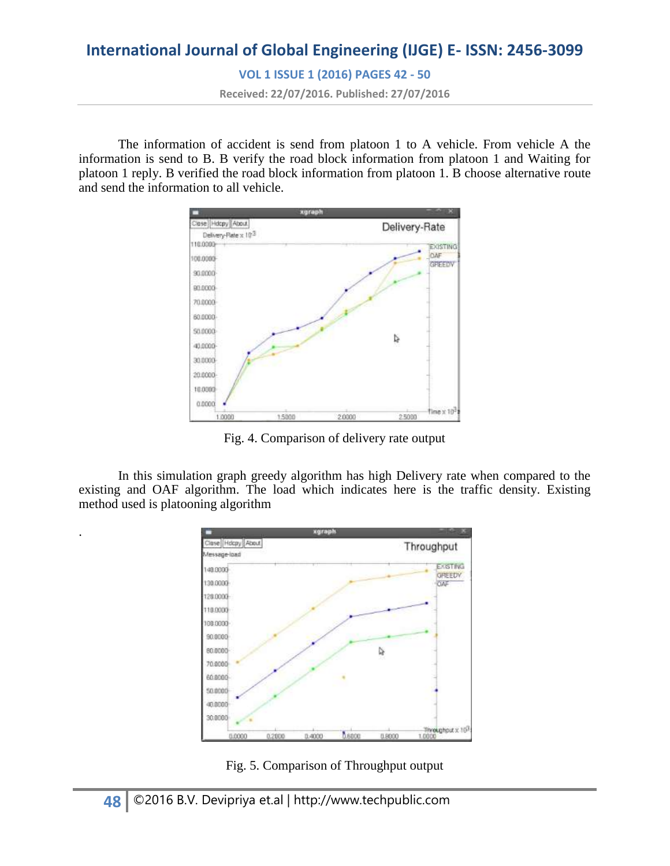**VOL 1 ISSUE 1 (2016) PAGES 42 - 50**

**Received: 22/07/2016. Published: 27/07/2016**

The information of accident is send from platoon 1 to A vehicle. From vehicle A the information is send to B. B verify the road block information from platoon 1 and Waiting for platoon 1 reply. B verified the road block information from platoon 1. B choose alternative route and send the information to all vehicle.



Fig. 4. Comparison of delivery rate output

In this simulation graph greedy algorithm has high Delivery rate when compared to the existing and OAF algorithm. The load which indicates here is the traffic density. Existing method used is platooning algorithm





.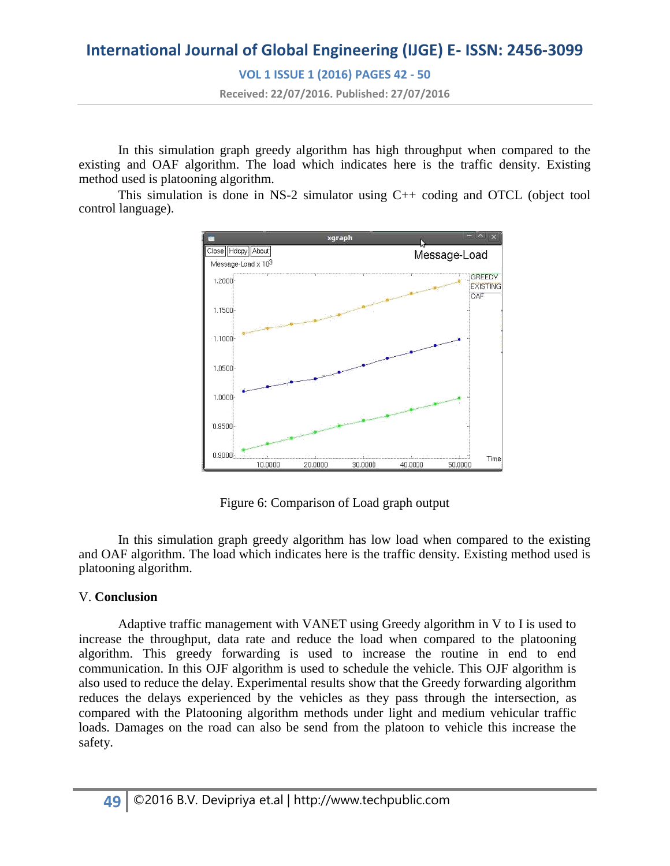**VOL 1 ISSUE 1 (2016) PAGES 42 - 50**

**Received: 22/07/2016. Published: 27/07/2016**

In this simulation graph greedy algorithm has high throughput when compared to the existing and OAF algorithm. The load which indicates here is the traffic density. Existing method used is platooning algorithm.

This simulation is done in NS-2 simulator using C++ coding and OTCL (object tool control language).



Figure 6: Comparison of Load graph output

In this simulation graph greedy algorithm has low load when compared to the existing and OAF algorithm. The load which indicates here is the traffic density. Existing method used is platooning algorithm.

#### V. **Conclusion**

Adaptive traffic management with VANET using Greedy algorithm in V to I is used to increase the throughput, data rate and reduce the load when compared to the platooning algorithm. This greedy forwarding is used to increase the routine in end to end communication. In this OJF algorithm is used to schedule the vehicle. This OJF algorithm is also used to reduce the delay. Experimental results show that the Greedy forwarding algorithm reduces the delays experienced by the vehicles as they pass through the intersection, as compared with the Platooning algorithm methods under light and medium vehicular traffic loads. Damages on the road can also be send from the platoon to vehicle this increase the safety.